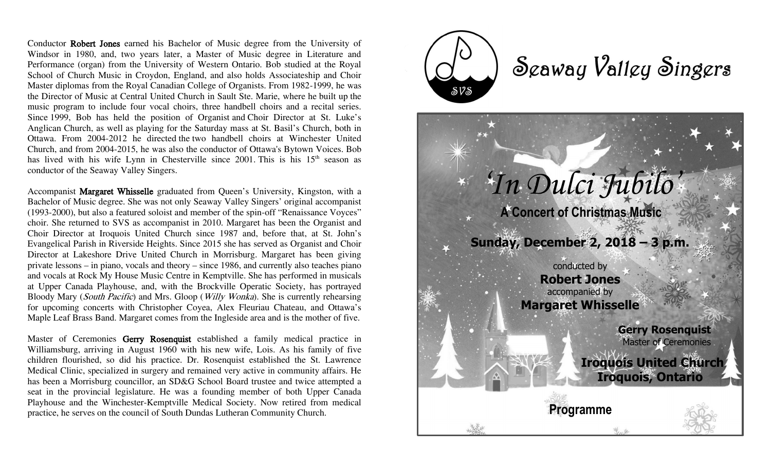Conductor Robert Jones earned his Bachelor of Music degree from the University of Windsor in 1980, and, two years later, a Master of Music degree in Literature and Performance (organ) from the University of Western Ontario. Bob studied at the Royal School of Church Music in Croydon, England, and also holds Associateship and Choir Master diplomas from the Royal Canadian College of Organists. From 1982-1999, he was the Director of Music at Central United Church in Sault Ste. Marie, where he built up the music program to include four vocal choirs, three handbell choirs and a recital series. Since 1999, Bob has held the position of Organist and Choir Director at St. Luke's Anglican Church, as well as playing for the Saturday mass at St. Basil's Church, both in Ottawa. From 2004-2012 he directed the two handbell choirs at Winchester United Church, and from 2004-2015, he was also the conductor of Ottawa's Bytown Voices. Bob has lived with his wife Lynn in Chesterville since 2001. This is his  $15<sup>th</sup>$  season as conductor of the Seaway Valley Singers.

Accompanist Margaret Whisselle graduated from Queen's University, Kingston, with a Bachelor of Music degree. She was not only Seaway Valley Singers' original accompanist (1993-2000), but also a featured soloist and member of the spin-off "Renaissance Voyces" choir. She returned to SVS as accompanist in 2010. Margaret has been the Organist and Choir Director at Iroquois United Church since 1987 and, before that, at St. John's Evangelical Parish in Riverside Heights. Since 2015 she has served as Organist and Choir Director at Lakeshore Drive United Church in Morrisburg. Margaret has been giving private lessons – in piano, vocals and theory – since 1986, and currently also teaches piano and vocals at Rock My House Music Centre in Kemptville. She has performed in musicals at Upper Canada Playhouse, and, with the Brockville Operatic Society, has portrayed Bloody Mary (South Pacific) and Mrs. Gloop (Willy Wonka). She is currently rehearsing for upcoming concerts with Christopher Coyea, Alex Fleuriau Chateau, and Ottawa's Maple Leaf Brass Band. Margaret comes from the Ingleside area and is the mother of five.

Master of Ceremonies Gerry Rosenquist established a family medical practice in Williamsburg, arriving in August 1960 with his new wife, Lois. As his family of five children flourished, so did his practice. Dr. Rosenquist established the St. Lawrence Medical Clinic, specialized in surgery and remained very active in community affairs. He has been a Morrisburg councillor, an SD&G School Board trustee and twice attempted a seat in the provincial legislature. He was a founding member of both Upper Canada Playhouse and the Winchester-Kemptville Medical Society. Now retired from medical practice, he serves on the council of South Dundas Lutheran Community Church.

 $\delta V$ 

## Scaway Valley Singers